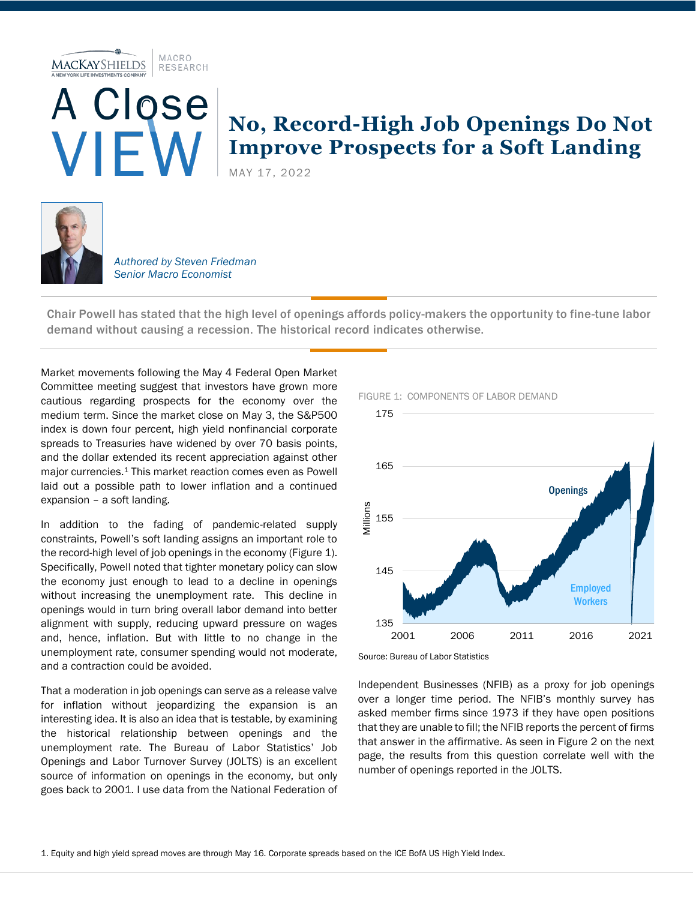MACRO **MACKAYSHIELDS** RESEARCH



## **No, Record-High Job Openings Do Not Improve Prospects for a Soft Landing**

MAY 17, 2022



*Authored by Steven Friedman Senior Macro Economist*

Chair Powell has stated that the high level of openings affords policy-makers the opportunity to fine-tune labor demand without causing a recession. The historical record indicates otherwise.

Market movements following the May 4 Federal Open Market Committee meeting suggest that investors have grown more cautious regarding prospects for the economy over the medium term. Since the market close on May 3, the S&P500 index is down four percent, high yield nonfinancial corporate spreads to Treasuries have widened by over 70 basis points, and the dollar extended its recent appreciation against other major currencies.<sup>1</sup> This market reaction comes even as Powell laid out a possible path to lower inflation and a continued expansion – a soft landing.

In addition to the fading of pandemic-related supply constraints, Powell's soft landing assigns an important role to the record-high level of job openings in the economy (Figure 1). Specifically, Powell noted that tighter monetary policy can slow the economy just enough to lead to a decline in openings without increasing the unemployment rate. This decline in openings would in turn bring overall labor demand into better alignment with supply, reducing upward pressure on wages and, hence, inflation. But with little to no change in the unemployment rate, consumer spending would not moderate, and a contraction could be avoided.

That a moderation in job openings can serve as a release valve for inflation without jeopardizing the expansion is an interesting idea. It is also an idea that is testable, by examining the historical relationship between openings and the unemployment rate. The Bureau of Labor Statistics' Job Openings and Labor Turnover Survey (JOLTS) is an excellent source of information on openings in the economy, but only goes back to 2001. I use data from the National Federation of



## FIGURE 1: COMPONENTS OF LABOR DEMAND

Source: Bureau of Labor Statistics

Independent Businesses (NFIB) as a proxy for job openings over a longer time period. The NFIB's monthly survey has asked member firms since 1973 if they have open positions that they are unable to fill; the NFIB reports the percent of firms that answer in the affirmative. As seen in Figure 2 on the next page, the results from this question correlate well with the number of openings reported in the JOLTS.